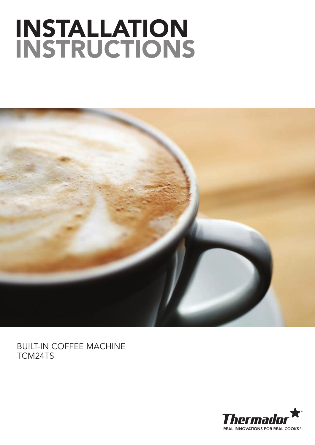# INSTALL/ INSTR



## BUILT-IN COFFEE MACHINE TCM24TS

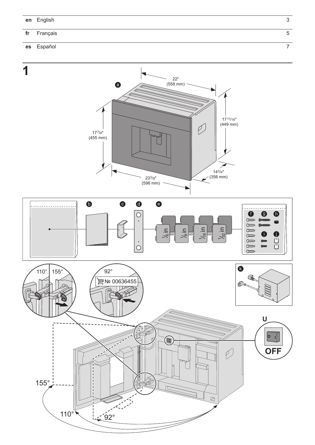#### Français  $f$ r

#### Español es



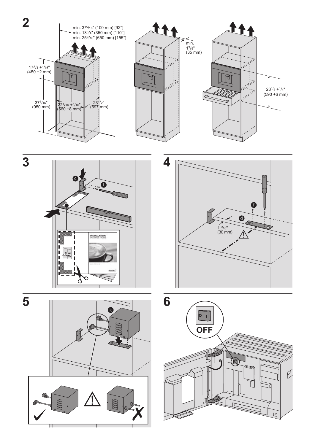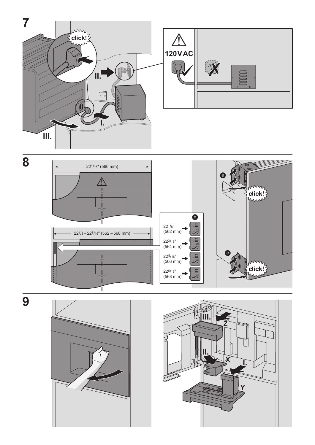



 $\overline{9}$ 



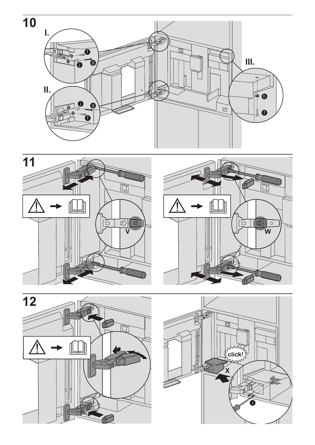







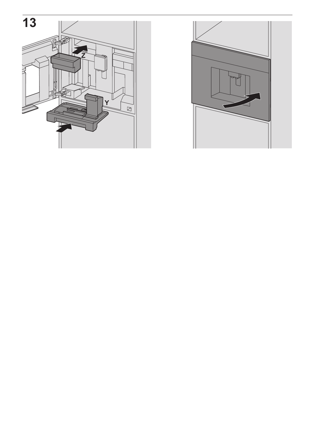

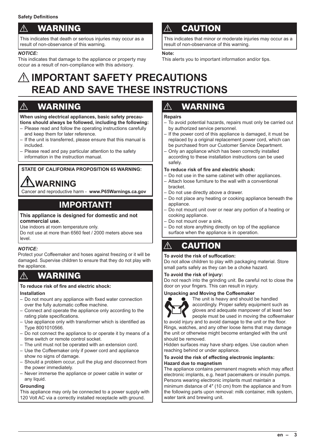## **WARNING**

This indicates that death or serious injuries may occur as a result of non-observance of this warning.

#### *NOTICE:*

This indicates that damage to the appliance or property may occur as a result of non-compliance with this advisory.

## **CAUTION**

This indicates that minor or moderate injuries may occur as a result of non-observance of this warning.

#### **Note:**

This alerts you to important information and/or tips.

## A**IMPORTANT SAFETY PRECAUTIONS READ AND SAVE THESE INSTRUCTIONS**

## $\overline{\mathbb{A}}$  WARNING

**When using electrical appliances, basic safety precautions should always be followed, including the following:**

- Please read and follow the operating instructions carefully and keep them for later reference.
- If the unit is transferred, please ensure that this manual is included.
- Please read and pay particular attention to the safety information in the instruction manual.

#### **STATE OF CALIFORNIA PROPOSITION 65 WARNING:**

## **WARNING**

Cancer and reproductive harm - **www.P65Warnings.ca.gov**

## **IMPORTANT!**

#### **This appliance is designed for domestic and not commercial use.**

Use indoors at room temperature only.

Do not use at more than 6560 feet / 2000 meters above sea level.

#### *NOTICE:*

Protect your Coffeemaker and hoses against freezing or it will be damaged. Supervise children to ensure that they do not play with the appliance.

## WARNING

#### **To reduce risk of fire and electric shock:**

#### **Installation**

- Do not mount any appliance with fixed water connection over the fully automatic coffee machine.
- Connect and operate the appliance only according to the rating plate specifications.
- Use appliance only with transformer which is identified as Type 8001010566.
- Do not connect the appliance to or operate it by means of a time switch or remote control socket.
- The unit must not be operated with an extension cord.
- Use the Coffeemaker only if power cord and appliance show no signs of damage.
- Should a problem occur, pull the plug and disconnect from the power immediately.
- Never immerse the appliance or power cable in water or any liquid.

#### **Grounding**

This appliance may only be connected to a power supply with 120 Volt AC via a correctly installed receptacle with ground.

## **WARNING**

#### **Repairs**

- To avoid potential hazards, repairs must only be carried out by authorized service personnel.
- If the power cord of this appliance is damaged, it must be replaced by a original replacement power cord, which can be purchased from our Customer Service Department.
- Only an appliance which has been correctly installed according to these installation instructions can be used safely.

#### **To reduce risk of fire and electric shock:**

- Do not use in the same cabinet with other appliances.
- Attach loose furniture to the wall with a conventional
- bracket. – Do not use directly above a drawer.
- Do not place any heating or cooking appliance beneath the appliance.
- Do not mount unit over or near any portion of a heating or cooking appliance.
- Do not mount over a sink.
- Do not store anything directly on top of the appliance surface when the appliance is in operation.

## $\wedge$  CAUTION

#### **To avoid the risk of suffocation:**

Do not allow children to play with packaging material. Store small parts safely as they can be a choke hazard.

#### **To avoid the risk of injury:**

Do not reach into the grinding unit. Be careful not to close the door on your fingers. This can result in injury.

#### **Unpacking and Moving the Coffeemaker**



The unit is heavy and should be handled accordingly. Proper safety equipment such as gloves and adequate manpower of at least two people must be used in moving the coffeemaker

to avoid injury and to avoid damage to the unit or the floor. Rings, watches, and any other loose items that may damage the unit or otherwise might become entangled with the unit should be removed.

Hidden surfaces may have sharp edges. Use caution when reaching behind or under appliance.

#### **To avoid the risk of effecting electronic implants: Hazard due to magnetism**

The appliance contains permanent magnets which may affect electronic implants, e.g. heart pacemakers or insulin pumps. Persons wearing electronic implants must maintain a minimum distance of 4″ (10 cm) from the appliance and from the following parts upon removal: milk container, milk system, water tank and brewing unit.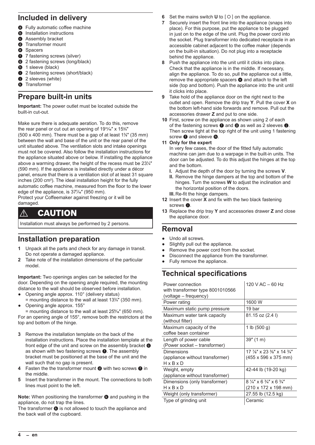### **Included in delivery**

- **a** Fully automatic coffee machine
- **b** Installation instructions
- **a** Assembly bracket
- **<sup>O</sup>** Transformer mount
- **e** Spacers
- **6** 7 fastening screws (silver)
- **g** 2 fastening screws (long/black)
- **6** 1 sleeve (black)
- **1** 2 fastening screws (short/black)
- $\bigcirc$  2 sleeves (white)
- **6** Transformer

## **Prepare built-in units**

**Important:** The power outlet must be located outside the built-in cut-out.

Make sure there is adequate aeration. To do this, remove the rear panel or cut out an opening of 19**11**⁄**16**″ x 15**<sup>3</sup>** ⁄**4**″ (500 x 400 mm). There must be a gap of at least 1**<sup>3</sup>** ⁄**8**″ (35 mm) between the wall and base of the unit or the rear panel of the unit situated above. The ventilation slots and intake openings must not be covered. Also follow the installation instructions for the appliance situated above or below. If installing the appliance above a warming drawer, the height of the recess must be 23**<sup>1</sup>** ⁄**4**″ (590 mm). If the appliance is installed directly under a décor panel, ensure that there is a ventilation slot of at least 31 square inches (200 cm**<sup>2</sup>** ). The ideal installation height for the fully automatic coffee machine, measured from the floor to the lower edge of the appliance, is 37**<sup>7</sup>** ⁄**16**″ (950 mm).

Protect your Coffeemaker against freezing or it will be damaged.

## $\wedge$  CAUTION

Installation must always be performed by 2 persons.

## **Installation preparation**

- **1** Unpack all the parts and check for any damage in transit. Do not operate a damaged appliance.
- **2** Take note of the installation dimensions of the particular model.

**Important:** Two openings angles can be selected for the door. Depending on the opening angle required, the mounting distance to the wall should be observed before installation.

- Opening angle approx. 110° (delivery status)
- = mounting distance to the wall at least 13**<sup>3</sup>** ⁄**4**″ (350 mm). Opening angle approx. 155°

= mounting distance to the wall at least 25**<sup>9</sup>** ⁄**16**″ (650 mm). For an opening angle of 155°, remove both the restrictors at the top and bottom of the hinge.

- **3** Remove the installation template on the back of the installation instructions. Place the installation template at the front edge of the unit and screw on the assembly bracket  $\bullet$ as shown with two fastening screws  $\bigodot$ . The assembly bracket must be positioned at the base of the unit and the wall such that no gap is present.
- **4** Fasten the the transformer mount **@** with two screws **@** in the middle.
- **5** Insert the transformer in the mount. The connections to both lines must point to the left.

**Note:** When positioning the transformer **C** and pushing in the appliance, do not trap the lines.

The transformer  $\bullet$  is not allowed to touch the appliance and the back wall of the cupboard.

- **6** Set the mains switch **U** to  $[O]$  on the appliance.
- **7** Securely insert the front line into the appliance (snaps into place). For this purpose, put the appliance to be plugged in just on to the edge of the unit. Plug the power cord into the socket. Plug transformer into dedicated receptacle in an accessible cabinet adjacent to the coffee maker (depends on the built-in situation). Do not plug into a receptacle behind the appliance.
- **8** Push the appliance into the unit until it clicks into place. Check that the appliance is in the middle. If necessary, align the appliance. To do so, pull the appliance out a little, remove the appropriate spacers  $\bullet$  and attach to the left side (top and bottom). Push the appliance into the unit until it clicks into place.
- **9** Take hold of the appliance door on the right next to the outlet and open. Remove the drip tray **Y**. Pull the cover **X** on the bottom left-hand side forwards and remove. Pull out the accessories drawer **Z** and put to one side.
- **10** First, screw on the appliance as shown using 2 of each of the fastening screws  $\bigcirc$  and  $\bigcirc$  as well as 2 sleeves  $\bigcirc$ . Then screw tight at the top right of the unit using 1 fastening screw  $\bullet$  and sleeve  $\bullet$ .

#### **11 Only for the expert**

In very few cases, the door of the fitted fully automatic machine can jam due to a warpage in the built-in units. The door can be adjusted. To do this adjust the hinges at the top and the bottom.

- **I.** Adjust the depth of the door by turning the screws **V**.
- **II.** Remove the hinge dampers at the top and bottom of the hinges. Turn the screws **W** to adjust the inclination and the horizontal position of the doors.
- **III.** Re-fit the hinge dampers.
- **12** Insert the cover **X** and fix with the two black fastening screws  $\bullet$ .
- **13** Replace the drip tray **Y** and accessories drawer **Z** and close the appliance door.

#### **Removal**

- Undo all screws.
- Slightly pull out the appliance.
- Remove the power cord from the socket.
- Disconnect the appliance from the transformer.
- Fully remove the appliance.

## **Technical specifications**

| Power connection<br>with transformer type 8001010566<br>(voltage – frequency) | 120 V AC $-60$ Hz                                                                    |
|-------------------------------------------------------------------------------|--------------------------------------------------------------------------------------|
| Power rating                                                                  | 1600 W                                                                               |
| Maximum static pump pressure                                                  | 19 bar                                                                               |
| Maximum water tank capacity<br>(without filter)                               | 81.15 oz (2.4 l)                                                                     |
| Maximum capacity of the<br>coffee bean container                              | 1 lb $(500 g)$                                                                       |
| Length of power cable<br>(Power socket – transformer)                         | 39''(1 m)                                                                            |
| Dimensions<br>(appliance without transformer)<br>$H \times B \times D$        | 17 $\frac{7}{8}$ " x 23 $\frac{3}{8}$ " x 14 $\frac{3}{4}$ "<br>(455 x 596 x 375 mm) |
| Weight, empty<br>(appliance without transformer)                              | 42-44 lb (19-20 kg)                                                                  |
| Dimensions (only transformer)<br>$H \times B \times D$                        | $8\frac{1}{4}$ x 6 $\frac{3}{4}$ x 6 $\frac{3}{4}$ "<br>(210 x 172 x 198 mm)         |
| Weight (only transformer)                                                     | 27.55 lb (12.5 kg)                                                                   |
| Type of grinding unit                                                         | Ceramic                                                                              |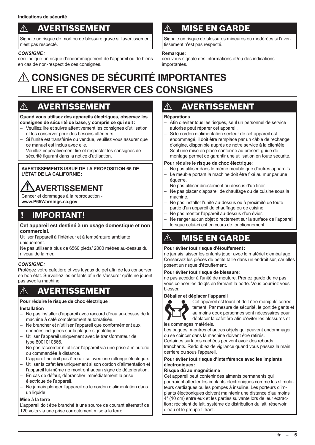## **AVERTISSEMENT**

Signale un risque de mort ou de blessure grave si l'avertissement n'est pas respecté.

#### *CONSIGNE:*

ceci indique un risque d'endommagement de l'appareil ou de biens en cas de non-respect de ces consignes.

## **MISE EN GARDE**

Signale un risque de blessures mineures ou modérées si l'avertissement n'est pas respecté.

#### **Remarque:**

ceci vous signale des informations et/ou des indications importantes.

## A**CONSIGNES DE SÉCURITÉ IMPORTANTES LIRE ET CONSERVER CES CONSIGNES**

## $\wedge$  AVERTISSEMENT

**Quand vous utilisez des appareils électriques, observez les consignes de sécurité de base, y compris ce qui suit:**

- Veuillez lire et suivre attentivement les consignes d'utilisation et les conserver pour des besoins ultérieurs.
- Si l'unité est transférée ou vendue, veuillez vous assurer que ce manuel est inclus avec elle.
- Veuillez impérativement lire et respecter les consignes de sécurité figurant dans la notice d'utilisation.

#### **AVERTISSEMENTS ISSUE DE LA PROPOSITION 65 DE L'ÉTAT DE LA CALIFORNIE:**

## **AVERTISSEMENT**

Cancer et dommages à la reproduction **www.P65Warnings.ca.gov**

## ! **IMPORTANT!**

#### **Cet appareil est destiné à un usage domestique et non commercial.**

Utiliser l'appareil à l'intérieur et à température ambiante uniquement.

Ne pas utiliser à plus de 6560 pieds/ 2000 mètres au-dessus du niveau de la mer.

#### *CONSIGNE:*

Protégez votre cafetière et vos tuyaux du gel afin de les conserver en bon état. Surveillez les enfants afin de s'assurer qu'ils ne jouent pas avec la machine.

## $\triangle$  AVERTISSEMENT

#### **Pour réduire le risque de choc électrique:**

#### **Installation**

- Ne pas installer d'appareil avec raccord d'eau au-dessus de la machine à café complètement automatisée.
- Ne brancher et n'utiliser l'appareil que conformément aux données indiquées sur la plaque signalétique.
- Utiliser l'appareil uniquement avec le transformateur de type 8001010566.
- Ne pas raccorder ni utiliser l'appareil via une prise à minuterie ou commandée à distance.
- L'appareil ne doit pas être utilisé avec une rallonge électrique.
- Utiliser la cafetière uniquement si son cordon d'alimentation et l'appareil lui-même ne montrent aucun signe de détérioration.
- En cas de défaut, débrancher immédiatement la prise électrique de l'appareil.
- Ne jamais plonger l'appareil ou le cordon d'alimentation dans un liquide.

#### **Mise à la terre**

L'appareil doit être branché à une source de courant alternatif de 120 volts via une prise correctement mise à la terre.

## **AVERTISSEMENT**

#### **Réparations**

- Afin d'éviter tous les risques, seul un personnel de service autorisé peut réparer cet appareil.
- Si le cordon d'alimentation secteur de cet appareil est endommagé, il doit être remplacé par un câble de rechange d'origine, disponible auprès de notre service à la clientèle.
- Seul une mise en place conforme au présent guide de montage permet de garantir une utilisation en toute sécurité.

#### **Pour réduire le risque de choc électrique:**

- Ne pas utiliser dans le même meuble que d'autres appareils.
- Le meuble portant la machine doit être fixé au mur par une équerre.
- Ne pas utiliser directement au dessus d'un tiroir.
- Ne pas placer d'appareil de chauffage ou de cuisine sous la machine.
- Ne pas installer l'unité au-dessus ou à proximité de toute partie d'un appareil de chauffage ou de cuisine.
- Ne pas monter l'appareil au-dessus d'un évier.
- Ne ranger aucun objet directement sur la surface de l'appareil lorsque celui-ci est en cours de fonctionnement.

## $\wedge$  MISE EN GARDE

#### **Pour éviter tout risque d'étouffement:**

ne jamais laisser les enfants jouer avec le matériel d'emballage. Conservez les pièces de petite taille dans un endroit sûr, car elles posent un risque d'étouffement.

#### **Pour éviter tout risque de blessure:**

ne pas accéder à l'unité de mouture. Prenez garde de ne pas vous coincer les doigts en fermant la porte. Vous pourriez vous blesser.

#### **Déballer et déplacer l'appareil**



Cet appareil est lourd et doit être manipulé correctement. Par mesure de sécurité, le port de gants et au moins deux personnes sont nécessaires pour déplacer la cafetière afin d'éviter les blessures et les dommages matériels.

Les bagues, montres et autres objets qui peuvent endommager ou se coincer dans la machine doivent être retirés.

Certaines surfaces cachées peuvent avoir des rebords

tranchants. Redoublez de vigilance quand vous passez la main derrière ou sous l'appareil.

#### **Pour éviter tout risque d'interférence avec les implants électroniques:**

#### **Risque dû au magnétisme**

Cet appareil peut contenir des aimants permanents qui pourraient affecter les implants électroniques comme les stimulateurs cardiaques ou les pompes à insuline. Les porteurs d'implants électroniques doivent maintenir une distance d'au moins 4″ (10 cm) entre eux et les parties suivante lors de leur extraction: récipient de lait, système de distribution du lait, réservoir d'eau et le groupe filtrant.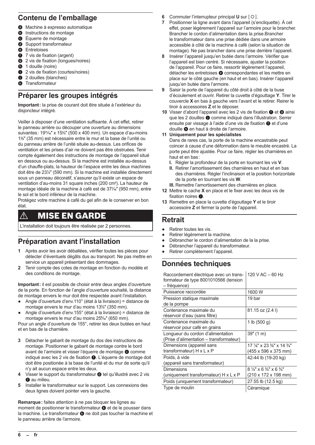### **Contenu de l'emballage**

- **a** Machine à expresso automatique<br>**6** Instructions de montage
- Instructions de montage
- **e** Équerre de montage
- **<sup>O</sup>** Support transformateur
- **e** Entretoises
- **f** 7 vis de fixation (argent)
- $\bullet$  2 vis de fixation (longues/noires)
- **6** 1 douille (noire)
- **1** 2 vis de fixation (courtes/noires)
- <sup>1</sup> 2 douilles (blanches)
- **a** Transformateur

### **Préparer les groupes intégrés**

**Important:** la prise de courant doit être située à l'extérieur du disjoncteur intégré.

Veiller à disposer d'une ventilation suffisante. À cet effet, retirer le panneau arrière ou découper une ouverture au dimensions suivantes: 19**11**⁄**16**″ x 15**<sup>3</sup>** ⁄**4**″ (500 x 400 mm). Un espace d'au-moins 1**3** ⁄**8**″ (35 mm) est nécessaire entre le mur et la base de l'unité ou du panneau arrière de l'unité située au-dessus. Les orifices de ventilation et les prises d'air ne doivent pas être obstruées. Tenir compte également des instructions de montage de l'appareil situé en dessous ou au-dessus. Si la machine est installée au-dessus d'un chauffe-plats, la hauteur de l'espace entre les deux machines doit être de 23**<sup>1</sup>** ⁄**4**″ (590 mm). Si la machine est installée directement sous un panneau décoratif, s'assurer qu'il existe un espace de ventilation d'au-moins 31 square inches (200 cm**<sup>2</sup>** ). La hauteur de montage idéale de la machine à café est de 37**<sup>7</sup>** ⁄**16**″ (950 mm), entre le sol et le bord inférieur de la machine.

Protégez votre machine à café du gel afin de le conserver en bon état.

## $\wedge$  MISE EN GARDE

L'installation doit toujours être réalisée par 2 personnes.

### **Préparation avant l'installation**

- **1** Après avoir les avoir déballées, vérifier toutes les pièces pour détecter d'éventuels dégâts dus au transport. Ne pas mettre en service un appareil présentant des dommages.
- **2** Tenir compte des cotes de montage en fonction du modèle et des conditions de montage.

**Important:** il est possible de choisir entre deux angles d'ouverture de la porte. En fonction de l'angle d'ouverture souhaité, la distance de montage envers le mur doit être respectée avant l'installation.

- Angle d'ouverture d'env.110° (état à la livraison) = distance de montage envers le mur d'au moins 13**<sup>3</sup>** ⁄**4**″ (350 mm).
- Angle d'ouverture d'env.155° (état à la livraison) = distance de montage envers le mur d'au moins 25**<sup>9</sup>** ⁄**16**″ (650 mm).

Pour un angle d'ouverture de 155°, retirer les deux butées en haut et en bas de la charnière.

- **3** Détacher le gabarit de montage du dos des instructions de montage. Positionner le gabarit de montage contre le bord avant de l'armoire et visser l'équerre de montage  $\bullet$  comme indiqué avec les 2 vis de fixation  $\bullet$ . L'équerre de montage doit doit être positionée à la base de l'unité et du mur de sorte qu'il n'y ait aucun espace entre les deux.
- 4 Visser le support du transformateur @ tel qu'illustré avec 2 vis  $\bullet$  au milieu.
- **5** Installer le transformateur sur le support. Les connexions des deux lignes doivent pointer vers la gauche.

**Remarque:** faites attention à ne pas bloquer les lignes au moment de positionner le transformateur  $\bullet$  et de le pousser dans la machine. Le transformateur <sup>o</sup> ne doit pas toucher la machine et le panneau arrière de l'armoire.

- **6** Commuter l'interrupteur principal **U** sur  $\lceil O \rceil$ .
- **7** Positionner la ligne avant dans l'appareil (s'encliquette). À cet effet, poser légèrement l'appareil sur l'armoire pour le brancher. Brancher le cordon d'alimentation dans la prise.Brancher le transformateur dans une prise dédiée dans une armoire accessible à côté de la machine à café (selon la situation de montage). Ne pas brancher dans une prise derrière l'appareil.
- **8** Insérer l'appareil jusqu'en butée dans l'armoire. Vérifier que l'appareil est bien centré. Si nécessaire, ajuster la position de l'appareil. Pour ce faire, ressortir légèrement l'appareil, détacher les entretoises  $\bullet$  correspondantes et les mettre en place sur le côté gauche (en haut et en bas). Insérer l'appareil jusqu'en butée dans l'armoire.
- **9** Saisir la porte de l'appareil du côté droit à côté de la buse d'écoulement et ouvrir. Retirer la cuvette d'égouttage **Y**. Tirer le couvercle **X** en bas à gauche vers l'avant et le retirer. Reirer le tiroir à accessoires **Z** et le déposer.
- 10 Visser d'abord l'appareil avec les 2 vis de fixation  $\bigcirc$  et  $\bigcirc$  ainsi que les 2 douilles  $\bigcirc$  comme indiqué dans l'illustration. Serrer ensuite par vissage à l'aide d'une vis de fixation  $\bullet$  et d'une douille  $\bullet$  en haut à droite de l'armoire.
- **11 Uniquement pour les spécialistes** Dans de rares cas, la porte de la machine encastrable peut coincer à cause d'une déformation dans le meuble encastré. La porte peut être ajustée. Pour ce faire, régler les charnières en haut et en bas:
	- **I.** Régler la profondeur de la porte en tournant les vis **V**.
	- **II.** Retirer l'amortissement des charnières en haut et en bas des charnières. Régler l'inclinaison et la position horizontale de la porte en tournant les vis **W**.
- **III.** Remettre l'amortissement des charnières en place.
- **12** Mettre le cache **X** en place et le fixer avec les deux vis de fixation noires  $\bigcirc$ .
- **13** Remettre en place la cuvette d'égouttage **Y** et le tiroir accessoire **Z** et fermer la porte de l'appareil.

#### **Retrait**

- Retirer toutes les vis.
- Retirer légèrement la machine.
- Débrancher le cordon d'alimentation de la la prise.
- Débrancher l'appareil du transformateur.
- Retirer complètement l'appareil.

## **Données techniques**

Raccordement électrique avec un trans-120 V AC – 60 Hz formateur de type 8001010566 (tension

| - fréquence)                                      |                                                              |
|---------------------------------------------------|--------------------------------------------------------------|
| Puissance raccordée                               | 1600 W                                                       |
| Pression statique maximale                        | 19 bar                                                       |
| de la pompe                                       |                                                              |
| Contenance maximale du                            | 81.15 oz (2.4 l)                                             |
| réservoir d'eau (sans filtre)                     |                                                              |
| Contenance maximale du                            | 1 lb $(500 g)$                                               |
| réservoir pour café en grains                     |                                                              |
| Longueur du cordon d'alimentation                 | 39''(1 m)                                                    |
| (Prise d'alimentation - transformateur)           |                                                              |
| Dimensions (appareil sans                         | 17 $\frac{7}{8}$ " x 23 $\frac{3}{8}$ " x 14 $\frac{3}{4}$ " |
| transformateur) H x L x P                         | (455 x 596 x 375 mm)                                         |
| Poids, à vide                                     | 42-44 lb (19-20 kg)                                          |
| (appareil sans transformateur)                    |                                                              |
| <b>Dimensions</b>                                 | $8\frac{1}{4}$ " x 6 $\frac{3}{4}$ " x 6 $\frac{3}{4}$ "     |
| (uniquement transformateur) $H \times L \times P$ | (210 x 172 x 198 mm)                                         |
| Poids (uniquement transformateur)                 | 27.55 lb (12.5 kg)                                           |
| Type de moulin                                    | Céramique                                                    |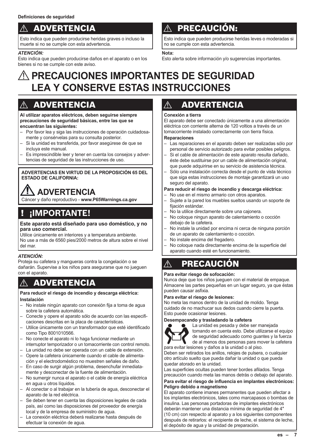## **ADVERTENCIA**

Esto indica que pueden producirse heridas graves o incluso la muerte si no se cumple con esta advertencia.

#### *ATENCIÓN:*

Esto indica que pueden producirse daños en el aparato o en los bienes si no se cumple con este aviso.

## **PRECAUCIÓN:**

Esto indica que pueden producirse heridas leves o moderadas si no se cumple con esta advertencia.

#### **Nota:**

Esto alerta sobre información y/o sugerencias importantes.

## A**PRECAUCIONES IMPORTANTES DE SEGURIDAD LEA Y CONSERVE ESTAS INSTRUCCIONES**

## **ADVERTENCIA**

**Al utilizar aparatos eléctricos, deben seguirse siempre precauciones de seguridad básicas, entre las que se encuentran las siguientes:**

- Por favor lea y siga las instrucciones de operación cuidadosamente y consérvelas para su consulta posterior.
- Si la unidad es transferida, por favor asegúrese de que se incluya este manual.
- Es imprescindible leer y tener en cuenta los consejos y advertencias de seguridad de las instrucciones de uso.

#### **ADVERTENCIAS EN VIRTUD DE LA PROPOSICIÓN 65 DEL ESTADO DE CALIFORNIA:**

## **ADVERTENCIA**

Cáncer y daño reproductivo - **www.P65Warnings.ca.gov**

## ! **¡IMPORTANTE!**

#### **Este aparato está diseñado para uso doméstico, y no para uso comercial.**

Utilice únicamente en interiores y a temperatura ambiente. No use a más de 6560 pies/2000 metros de altura sobre el nivel del mar.

#### *ATENCIÓN:*

Proteja su cafetera y mangueras contra la congelación o se dañarán. Supervise a los niños para asegurarse que no jueguen con el aparato.

## $\wedge$  advertencia

#### **Para reducir el riesgo de incendio y descarga eléctrica: Instalación**

- No instale ningún aparato con conexión fija a toma de agua sobre la cafetera automática.
- Conecte y opere el aparato sólo de acuerdo con las especificaciones descritas en la placa de características.
- Utilice únicamente con un transformador que esté identificado como Tipo 8001010566.
- No conecte el aparato ni lo haga funcionar mediante un interruptor temporizador o un tomacorriente con control remoto.
- La unidad no debe ser operada con un cable de extensión. – Opere la cafetera únicamente cuando el cable de alimenta-
- ción y el electrodoméstico no muestren señales de daño. – En caso de surgir algún problema, desenchufar inmediatamente y desconectar de la fuente de alimentación.
- No sumergir nunca el aparato o el cable de energía eléctrica en agua u otros líquidos.
- Al conectar o al trabajar en la tubería de agua, desconectar el aparato de la red eléctrica.
- Se deben tener en cuenta las disposiciones legales de cada país, así como las disposiciones del proveedor de energía local y de la empresa de suministro de agua.
- La conexión eléctrica deberá realizarse hasta después de efectuar la conexión de agua.

## **A** ADVERTENCIA

#### **Conexión a tierra**

El aparato debe ser conectado únicamente a una alimentación eléctrica con corriente alterna de 120 voltios a través de un tomacorriente instalado correctamente con tierra física.

#### **Reparaciones**

- Las reparaciones en el aparato deben ser realizadas sólo por personal de servicio autorizado para evitar posibles peligros.
- Si el cable de alimentación de este aparato resulta dañado, éste debe sustituirse por un cable de alimentación original, que puede adquirirse en su servicio de asistencia técnica.
- Sólo una instalación correcta desde el punto de vista técnico que siga estas instrucciones de montaje garantizará un uso seguro del aparato.

#### **Para reducir el riesgo de incendio y descarga eléctrica:**

- No use en el mismo armario con otros aparatos.
- Sujete a la pared los muebles sueltos usando un soporte de fijación estándar.
- No la utilice directamente sobre una cajonera.
- No coloque ningun aparato de calentamiento o cocción debajo de la cafetera.
- No instale la unidad por encima ni cerca de ninguna porción de un aparato de calentamiento o cocción.
- No instale encima del fregadero.
- No coloque nada directamente encima de la superficie del aparato cuando esté en funcionamiento.

## PRECAUCIÓN

#### **Para evitar riesgo de sofocación:**

Nunca deje que los niños jueguen con el material de empaque. Almacene las partes pequeñas en un lugar seguro, ya que éstas pueden causar asfixia.

#### **Para evitar el riesgo de lesiones:**

No meta las manos dentro de la unidad de molido. Tenga cuidado de no machucar sus dedos cuando cierre la puerta. Esto puede ocasionar lesiones.

#### **Desempacando y trasladando la cafetera**



La unidad es pesada y debe ser manejada tomando en cuenta esto. Debe utilizarse el equipo de seguridad adecuado como guantes y la fuerza de al menos dos personas para mover la cafetera para evitar lesiones y daños a la unidad o al piso.

Deben ser retirados los anillos, relojes de pulsera, o cualquier otro artículo suelto que pueda dañar la unidad o que pueda quedar atorado en la unidad.

Las superficies ocultas pueden tener bordes afilados. Tenga precaución cuando meta las manos detrás o debajo del aparato.

#### **Para evitar el riesgo de influencia en implantes electrónicos: Peligro debido a magnetismo**

El aparato contiene imanes permanentes que pueden afectar a los implantes electrónicos, tales como marcapasos o bombas de insulina. Las personas portadoras de implantes electrónicos deberán mantener una distancia mínima de seguridad de 4″ (10 cm) con respecto al aparato y a los siguientes componentes después de retirarlos: el recipiente de leche, el sistema de leche, el depósito de agua y la unidad de preparación.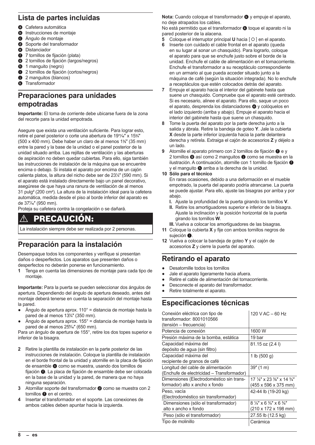### **Lista de partes incluidas**

- **a** Cafetera automática
- **b** Instrucciones de montaje
- **e** Ángulo de montaje
- **d** Soporte del transformador
- **e** Distanciador
- **6** 7 tornillos de fijación (plata)
- g 2 tornillos de fijación (largos/negros)
- **1** manguito (negro)
- $\bullet$  2 tornillos de fijación (cortos/negros)
- <sup>1</sup> 2 manguitos (blancos)
- **a** Transformador

### **Preparaciones para unidades empotradas**

**Importante:** El toma de corriente debe ubicarse fuera de la zona del recorte para la unidad empotrada.

Asegure que exista una ventilación suficiente. Para lograr esto, retire el panel posterior o corte una abertura de 19**11**⁄**16**″ x 15**<sup>3</sup>** ⁄**4**″ (500 x 400 mm). Debe haber un claro de al menos 1**<sup>3</sup>** ⁄**8**″ (35 mm) entre la pared y la base de la unidad o el panel posterior de la unidad situado arriba. Las rejillas de ventilación y las aberturas de aspiración no deben quedar cubiertas. Para ello, siga también las instrucciones de instalación de la máquina que se encuentre encima o debajo. Si instala el aparato por encima de un cajón calienta platos, la altura del nicho debe ser de 23**<sup>1</sup>** ⁄**4**″ (590 mm). Si el aparato está instalado directamente bajo un panel decorativo, asegúrese de que haya una ranura de ventilación de al menos 31 pulg² (200 cm**<sup>2</sup>** ). La altura de la instalación ideal para la cafetera automática, medida desde el piso al borde inferior del aparato es de 37**<sup>7</sup>** ⁄**16**″ (950 mm).

Proteja su cafetera contra la congelación o se dañará.

## PRECAUCIÓN:

La instalación siempre debe ser realizada por 2 personas.

### **Preparación para la instalación**

Desempaque todos los componentes y verifique si presentan daños o desperfectos. Los aparatos que presenten daños o desperfectos no deberán ponerse en funcionamiento.

**1** Tenga en cuenta las dimensiones de montaje para cada tipo de montaje.

**Importante:** Para la puerta se pueden seleccionar dos ángulos de apertura. Dependiendo del ángulo de apertura deseado, antes del montaje deberá tenerse en cuenta la separación del montaje hasta la pared.

- Ángulo de apertura aprox. 110° = distancia de montaje hasta la pared de al menos 13**<sup>3</sup>** ⁄**4**″ (350 mm).
- Ángulo de apertura aprox.  $155^\circ$  = distancia de montaje hasta la pared de al menos 25**<sup>9</sup>** ⁄**16**″ (650 mm).

Para un ángulo de apertura de 155°, retire los dos topes superior e inferior de la bisagra.

- **2** Retire la plantilla de instalación en la parte posterior de las instrucciones de instalación. Coloque la plantilla de instalación en el borde frontal de la unidad y atornille en la placa de fijación de ensamble  $\bullet$  como se muestra, usando dos tornillos de fijación  $\bigcirc$ . La placa de fijación de ensamble debe ser colocada en la base de la unidad y la pared, de manera que no haya ninguna separación.
- **3** Atornillar soporte del transformador @ como se muestra con 2 tornillos  $\bigcirc$  en el centro.
- **4** Insertar el transformador en el soporte. Las conexiones de ambos cables deben apuntar hacia la izquierda.

Nota: Cuando coloque el transformador <sup>1</sup> y empuje el aparato, no deje atrapados los cables.

No está permitido que el transformador @ toque el aparato ni la pared posterior de la alacena.

- **5** Coloque el interruptor principal **U** hacia  $\lceil O \rceil$  en el aparato.
- **6** Inserte con cuidado el cable frontal en el aparato (queda en su lugar al sonar un chasquido). Para lograrlo, coloque el aparato para que se enchufe justo sobre el borde de la unidad. Enchufe el cable de alimentación en el tomacorriente. Enchufe el transformador a su receptáculo correspondiente en un armario al que pueda acceder situado junto a la máquina de café (según la situación integrada). No lo enchufe a receptáculos que estén colocados detrás del aparato.
- **7** Empuje el aparato hacia el interior del gabinete hasta que suene un chasquido. Compruebe que el aparato esté centrado. Si es necesario, alinee el aparato. Para ello, saque un poco el aparato, desprenda los distanciadores  $\bullet$  y colóquelos en el lado izquierdo (arriba y abajo). Empuje el aparato hacia el interior del gabinete hasta que suene un chasquido.
- **8** Tome la puerta del aparato por la parte derecha junto a la salida y ábrala. Retire la bandeja de goteo **Y**. Jale la cubierta **X** desde la parte inferior izquierda hacia la parte delantera derecha y retírela. Extraiga el cajón de accesorios **Z** y déjelo a un lado.
- Atornille el aparato primero con 2 tornillos de fijación  $\bigcirc$  e y 2 tornillos  $\bullet$  así como 2 manguitos  $\bullet$  como se muestra en la ilustración. A continuación, atornille con 1 tornillo de fijación  $\bigcirc$ y el manguito  $\bullet$  arriba a la derecha de la unidad.
- **10 Sólo para el técnico**

En raras ocasiones, debido a una deformación en el mueble empotrado, la puerta del aparato podría atrancarse. La puerta se puede ajustar. Para ello, ajuste las bisagras por arriba y por abajo.

- **I.** Ajuste la profundidad de la puerta girando los tornillos **V**.
- **II.** Retire los amortiguadores superior e inferior de la bisagra. Ajuste la inclinación y la posición horizontal de la puerta girando los tornillos **W**.
- **III.** Vuelva a colocar los amortiguadores de las bisagras. **11** Coloque la cubierta **X** y fije con ambos tornillos negros de
- sujeción  $\bullet$ . **12** Vuelva a colocar la bandeja de goteo **Y** y el cajón de accesorios **Z** y cierre la puerta del aparato.

## **Retirando el aparato**

- Desatornille todos los tornillos
- Jale el aparato ligeramente hacia afuera.
- Retire el cable de alimentación del tomacorriente.
- Desconecte el aparato del transformador.
- Retire totalmente el aparato.

### **Especificaciones técnicas**

| Conexión eléctrica con tipo de<br>transformador: 8001010566<br>(tensión – frecuencia) | 120 V AC $-$ 60 Hz                                                                   |
|---------------------------------------------------------------------------------------|--------------------------------------------------------------------------------------|
| Potencia de conexión                                                                  | 1600 W                                                                               |
| Presión máxima de la bomba, estática                                                  | 19 bar                                                                               |
| Capacidad máxima del<br>depósito de agua (sin filtro)                                 | 81.15 oz (2.4 l)                                                                     |
| Capacidad máxima del<br>recipiente de granos de café                                  | 1 lb $(500 g)$                                                                       |
| Longitud del cable de alimentación<br>(Enchufe de electricidad – Transformador)       | 39''(1 m)                                                                            |
| Dimensiones (Electrodoméstico sin trans-<br>formador) alto x ancho x fondo            | 17 $\frac{7}{8}$ " x 23 $\frac{3}{8}$ " x 14 $\frac{3}{4}$ "<br>(455 x 596 x 375 mm) |
| Peso, vacía                                                                           | 42-44 lb (19-20 kg)                                                                  |
| (Electrodoméstico sin transformador)                                                  |                                                                                      |
| Dimensiones (sólo el transformador)                                                   | $8\frac{1}{4}$ " x 6 $\frac{3}{4}$ " x 6 $\frac{3}{4}$ "                             |
| alto x ancho x fondo                                                                  | (210 x 172 x 198 mm)                                                                 |
| Peso (sólo el transformador)                                                          | 27.55 lb (12.5 kg)                                                                   |
| Tipo de molinillo                                                                     | Cerámica                                                                             |